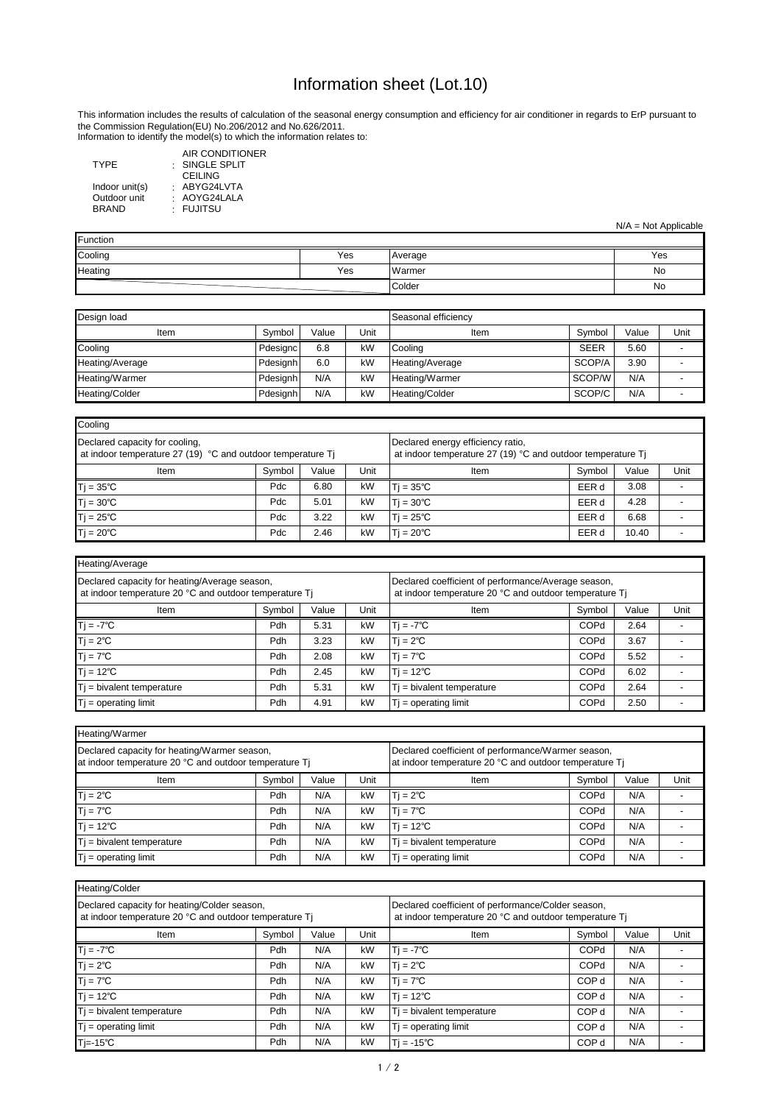Information to identify the model(s) to which the information relates to:

: SINGLE SPLIT : ABYG24LVTA AIR CONDITIONER CEILING AOYG24LALA FUJITSU

: : TYPE Indoor unit(s) Outdoor unit BRAND

| Heating/Average                                                                                         |        |       |                                                                                                               |                              |             |       |      |
|---------------------------------------------------------------------------------------------------------|--------|-------|---------------------------------------------------------------------------------------------------------------|------------------------------|-------------|-------|------|
| Declared capacity for heating/Average season,<br>at indoor temperature 20 °C and outdoor temperature Tj |        |       | Declared coefficient of performance/Average season,<br>at indoor temperature 20 °C and outdoor temperature Tj |                              |             |       |      |
| Item                                                                                                    | Symbol | Value | Unit                                                                                                          | Item                         | Symbol      | Value | Unit |
| $Tj = -7^{\circ}C$                                                                                      | Pdh    | 5.31  | kW                                                                                                            | $T_i = -7^{\circ}C$          | <b>COPd</b> | 2.64  |      |
| $Tj = 2^{\circ}C$                                                                                       | Pdh    | 3.23  | kW                                                                                                            | $T = 2^{\circ}C$             | <b>COPd</b> | 3.67  |      |
| $Tj = 7^{\circ}C$                                                                                       | Pdh    | 2.08  | kW                                                                                                            | $T = 7^{\circ}C$             | <b>COPd</b> | 5.52  |      |
| $T = 12^{\circ}C$                                                                                       | Pdh    | 2.45  | kW                                                                                                            | $T = 12^{\circ}C$            | <b>COPd</b> | 6.02  |      |
| $T_i$ = bivalent temperature                                                                            | Pdh    | 5.31  | kW                                                                                                            | $T_i$ = bivalent temperature | <b>COPd</b> | 2.64  |      |
| $Tj = operating limit$                                                                                  | Pdh    | 4.91  | kW                                                                                                            | $Tj = operating limit$       | <b>COPd</b> | 2.50  |      |

| Heating/Warmer                                                                                         |        |       |      |                                                                                                              |             |       |      |  |
|--------------------------------------------------------------------------------------------------------|--------|-------|------|--------------------------------------------------------------------------------------------------------------|-------------|-------|------|--|
| Declared capacity for heating/Warmer season,<br>at indoor temperature 20 °C and outdoor temperature Tj |        |       |      | Declared coefficient of performance/Warmer season,<br>at indoor temperature 20 °C and outdoor temperature Tj |             |       |      |  |
| Item                                                                                                   | Symbol | Value | Unit | Item                                                                                                         | Symbol      | Value | Unit |  |
| $Tj = 2^{\circ}C$                                                                                      | Pdh    | N/A   | kW   | $T = 2^{\circ}C$                                                                                             | <b>COPd</b> | N/A   |      |  |
| $Tj = 7^{\circ}C$                                                                                      | Pdh    | N/A   | kW   | $T = 7^{\circ}C$                                                                                             | <b>COPd</b> | N/A   |      |  |
| $Tj = 12^{\circ}C$                                                                                     | Pdh    | N/A   | kW   | $T = 12^{\circ}C$                                                                                            | <b>COPd</b> | N/A   |      |  |
| $Tj$ = bivalent temperature                                                                            | Pdh    | N/A   | kW   | $T_i$ = bivalent temperature                                                                                 | <b>COPd</b> | N/A   |      |  |
| $Tj = operating limit$                                                                                 | Pdh    | N/A   | kW   | $T$ = operating limit                                                                                        | <b>COPd</b> | N/A   |      |  |

| Design load     |          |       |      | Seasonal efficiency |             |       |      |
|-----------------|----------|-------|------|---------------------|-------------|-------|------|
| Item            | Symbol   | Value | Unit | Item                | Symbol      | Value | Unit |
| Cooling         | Pdesignc | 6.8   | kW   | ,Cooling            | <b>SEER</b> | 5.60  |      |
| Heating/Average | Pdesignh | 6.0   | kW   | Heating/Average     | SCOP/A      | 3.90  |      |
| Heating/Warmer  | Pdesignh | N/A   | kW   | Heating/Warmer      | SCOP/W      | N/A   |      |
| Heating/Colder  | Pdesignh | N/A   | kW   | Heating/Colder      | SCOP/C      | N/A   |      |

| Heating/Colder                                                                                         |                                                                                                              |       |      |                              |                  |       |      |
|--------------------------------------------------------------------------------------------------------|--------------------------------------------------------------------------------------------------------------|-------|------|------------------------------|------------------|-------|------|
| Declared capacity for heating/Colder season,<br>at indoor temperature 20 °C and outdoor temperature Tj | Declared coefficient of performance/Colder season,<br>at indoor temperature 20 °C and outdoor temperature Tj |       |      |                              |                  |       |      |
| Item                                                                                                   | Symbol                                                                                                       | Value | Unit | Item                         | Symbol           | Value | Unit |
| $Ti = -7^{\circ}C$                                                                                     | Pdh                                                                                                          | N/A   | kW   | $Tj = -7^{\circ}C$           | COPd             | N/A   |      |
| $Tj = 2^{\circ}C$                                                                                      | Pdh                                                                                                          | N/A   | kW   | $T = 2^{\circ}C$             | <b>COPd</b>      | N/A   |      |
| $Tj = 7^{\circ}C$                                                                                      | Pdh                                                                                                          | N/A   | kW   | $Tj = 7^{\circ}C$            | COP d            | N/A   |      |
| $Tj = 12^{\circ}C$                                                                                     | Pdh                                                                                                          | N/A   | kW   | $T$ j = 12°C                 | COP <sub>d</sub> | N/A   |      |
| $Ti = bivalent temperature$                                                                            | Pdh                                                                                                          | N/A   | kW   | $T_i$ = bivalent temperature | COP d            | N/A   |      |
| $Tj = operating limit$                                                                                 | Pdh                                                                                                          | N/A   | kW   | $T$ = operating limit        | COP d            | N/A   |      |
| 'Tj=-15℃                                                                                               | Pdh                                                                                                          | N/A   | kW   | $T = -15^{\circ}C$           | COP d            | N/A   |      |

| Cooling                                                                                       |        |       |      |                                                                                                    |        |       |      |
|-----------------------------------------------------------------------------------------------|--------|-------|------|----------------------------------------------------------------------------------------------------|--------|-------|------|
| Declared capacity for cooling,<br>at indoor temperature 27 (19) °C and outdoor temperature Tj |        |       |      | Declared energy efficiency ratio,<br>at indoor temperature 27 (19) $°C$ and outdoor temperature Tj |        |       |      |
| Item                                                                                          | Symbol | Value | Unit | Item                                                                                               | Svmbol | Value | Unit |
| $Tj = 35^{\circ}C$                                                                            | Pdc    | 6.80  | kW   | $T = 35^{\circ}C$                                                                                  | EER d  | 3.08  |      |
| $Tj = 30^{\circ}C$                                                                            | Pdc    | 5.01  | kW   | $T = 30^{\circ}C$                                                                                  | EER d  | 4.28  |      |
| $Tj = 25^{\circ}C$                                                                            | Pdc    | 3.22  | kW   | $T = 25^{\circ}C$                                                                                  | EER d  | 6.68  |      |
| $Tj = 20^{\circ}C$                                                                            | Pdc    | 2.46  | kW   | $T = 20^{\circ}C$                                                                                  | EER d  | 10.40 |      |

| Function |     |         |     |
|----------|-----|---------|-----|
| Cooling  | Yes | Average | Yes |
| Heating  | Yes | Warmer  | No  |
|          |     | Colder  | No  |

## Information sheet (Lot.10)

N/A = Not Applicable

This information includes the results of calculation of the seasonal energy consumption and efficiency for air conditioner in regards to ErP pursuant to the Commission Regulation(EU) No.206/2012 and No.626/2011.